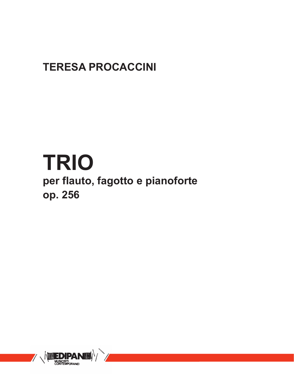## **TERESA PROCACCINI**

## **TRIO**

**per flauto, fagotto e pianoforte op. 256**

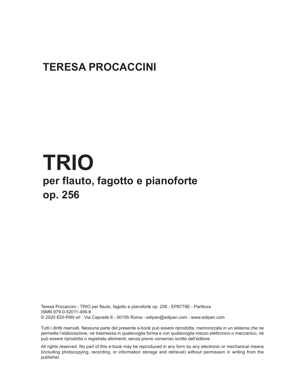## **TERESA PROCACCINI**

## **TRIO per flauto, fagotto e pianoforte op. 256**

Teresa Procaccini - TRIO per flauto, fagotto e pianoforte op. 256 - EP8778E - Partitura ISMN 979-0-52011-406-6 © 2020 EDI-PAN srl - Via Caposile 6 - 00195 Roma - edipan@edipan.com - www.edipan.com

Tutti i diritti riservati. Nessuna parte del presente e-book può essere riprodotta, memorizzata in un sistema che ne permetta l'elaborazione, né trasmessa in qualsivoglia forma e con qualsivoglia mezzo elettronico o meccanico, né può essere riprodotta o registrata altrimenti, senza previo consenso scritto dell'editore.

All rights reserved. No part of this e-book may be reproduced in any form by any electronic or mechanical means (including photocopying, recording, or information storage and retrieval) without permission in writing from the publisher.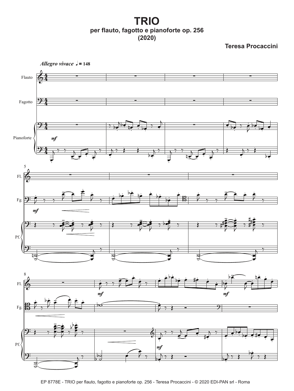**TRIO per flauto, fagotto e pianoforte op. 256 (2020)**

**Teresa Procaccini**



EP 8778E - TRIO per flauto, fagotto e pianoforte op. 256 - Teresa Procaccini - © 2020 EDI-PAN srl - Roma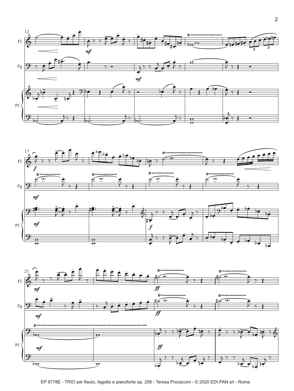



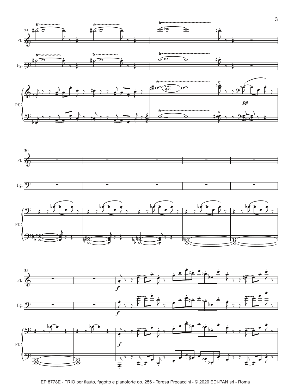





EP 8778E - TRIO per flauto, fagotto e pianoforte op. 256 - Teresa Procaccini - © 2020 EDI-PAN srl - Roma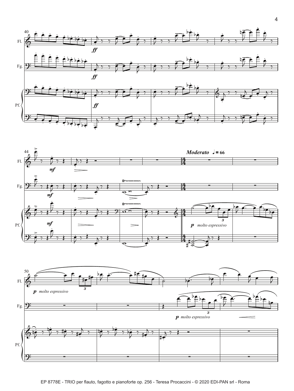



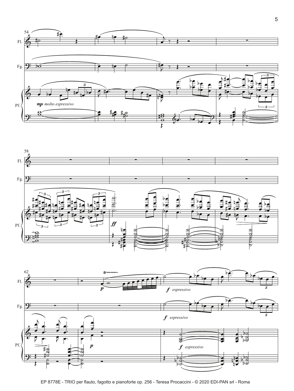





EP 8778E - TRIO per flauto, fagotto e pianoforte op. 256 - Teresa Procaccini - © 2020 EDI-PAN srl - Roma